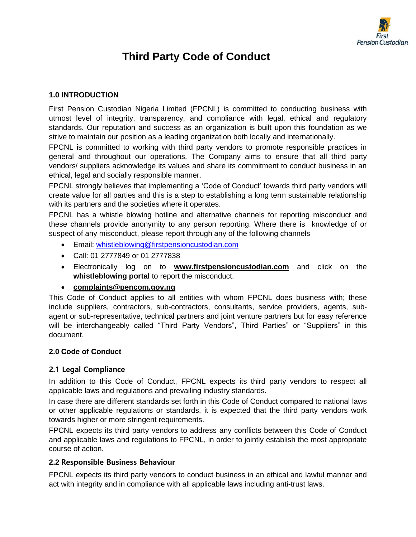

# **Third Party Code of Conduct**

# **1.0 INTRODUCTION**

First Pension Custodian Nigeria Limited (FPCNL) is committed to conducting business with utmost level of integrity, transparency, and compliance with legal, ethical and regulatory standards. Our reputation and success as an organization is built upon this foundation as we strive to maintain our position as a leading organization both locally and internationally.

FPCNL is committed to working with third party vendors to promote responsible practices in general and throughout our operations. The Company aims to ensure that all third party vendors/ suppliers acknowledge its values and share its commitment to conduct business in an ethical, legal and socially responsible manner.

FPCNL strongly believes that implementing a 'Code of Conduct' towards third party vendors will create value for all parties and this is a step to establishing a long term sustainable relationship with its partners and the societies where it operates.

FPCNL has a whistle blowing hotline and alternative channels for reporting misconduct and these channels provide anonymity to any person reporting. Where there is knowledge of or suspect of any misconduct, please report through any of the following channels

- Email: [whistleblowing@firstpensioncustodian.com](mailto:whistleblowing@firstpensioncustodian.com)
- Call: 01 2777849 or 01 2777838
- Electronically log on to **[www.firstpensioncustodian.com](http://www.firstpensioncustodian.com/)** and click on the **whistleblowing portal** to report the misconduct.

• **[complaints@pencom.gov.ng](mailto:complaints@pencom.gov.ng)**

This Code of Conduct applies to all entities with whom FPCNL does business with; these include suppliers, contractors, sub-contractors, consultants, service providers, agents, subagent or sub-representative, technical partners and joint venture partners but for easy reference will be interchangeably called "Third Party Vendors", Third Parties" or "Suppliers" in this document.

## **2.0 Code of Conduct**

## **2.1 Legal Compliance**

In addition to this Code of Conduct, FPCNL expects its third party vendors to respect all applicable laws and regulations and prevailing industry standards.

In case there are different standards set forth in this Code of Conduct compared to national laws or other applicable regulations or standards, it is expected that the third party vendors work towards higher or more stringent requirements.

FPCNL expects its third party vendors to address any conflicts between this Code of Conduct and applicable laws and regulations to FPCNL, in order to jointly establish the most appropriate course of action.

# **2.2 Responsible Business Behaviour**

FPCNL expects its third party vendors to conduct business in an ethical and lawful manner and act with integrity and in compliance with all applicable laws including anti-trust laws.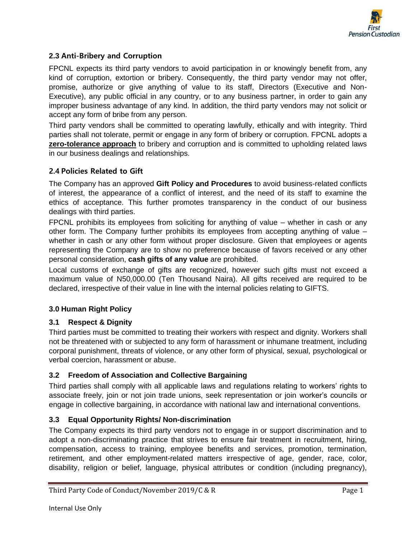

# **2.3 Anti-Bribery and Corruption**

FPCNL expects its third party vendors to avoid participation in or knowingly benefit from, any kind of corruption, extortion or bribery. Consequently, the third party vendor may not offer, promise, authorize or give anything of value to its staff, Directors (Executive and Non-Executive), any public official in any country, or to any business partner, in order to gain any improper business advantage of any kind. In addition, the third party vendors may not solicit or accept any form of bribe from any person.

Third party vendors shall be committed to operating lawfully, ethically and with integrity. Third parties shall not tolerate, permit or engage in any form of bribery or corruption. FPCNL adopts a **zero-tolerance approach** to bribery and corruption and is committed to upholding related laws in our business dealings and relationships.

## **2.4 Policies Related to Gift**

The Company has an approved **Gift Policy and Procedures** to avoid business-related conflicts of interest, the appearance of a conflict of interest, and the need of its staff to examine the ethics of acceptance. This further promotes transparency in the conduct of our business dealings with third parties.

FPCNL prohibits its employees from soliciting for anything of value – whether in cash or any other form. The Company further prohibits its employees from accepting anything of value – whether in cash or any other form without proper disclosure. Given that employees or agents representing the Company are to show no preference because of favors received or any other personal consideration, **cash gifts of any value** are prohibited.

Local customs of exchange of gifts are recognized, however such gifts must not exceed a maximum value of N50,000.00 (Ten Thousand Naira). All gifts received are required to be declared, irrespective of their value in line with the internal policies relating to GIFTS.

## **3.0 Human Right Policy**

## **3.1 Respect & Dignity**

Third parties must be committed to treating their workers with respect and dignity. Workers shall not be threatened with or subjected to any form of harassment or inhumane treatment, including corporal punishment, threats of violence, or any other form of physical, sexual, psychological or verbal coercion, harassment or abuse.

## **3.2 Freedom of Association and Collective Bargaining**

Third parties shall comply with all applicable laws and regulations relating to workers' rights to associate freely, join or not join trade unions, seek representation or join worker's councils or engage in collective bargaining, in accordance with national law and international conventions.

## **3.3 Equal Opportunity Rights/ Non-discrimination**

The Company expects its third party vendors not to engage in or support discrimination and to adopt a non-discriminating practice that strives to ensure fair treatment in recruitment, hiring, compensation, access to training, employee benefits and services, promotion, termination, retirement, and other employment-related matters irrespective of age, gender, race, color, disability, religion or belief, language, physical attributes or condition (including pregnancy),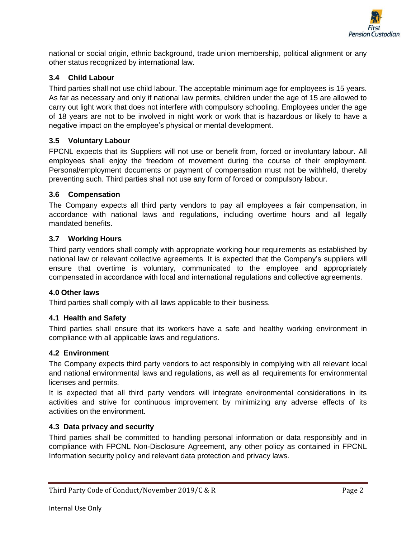

national or social origin, ethnic background, trade union membership, political alignment or any other status recognized by international law.

# **3.4 Child Labour**

Third parties shall not use child labour. The acceptable minimum age for employees is 15 years. As far as necessary and only if national law permits, children under the age of 15 are allowed to carry out light work that does not interfere with compulsory schooling. Employees under the age of 18 years are not to be involved in night work or work that is hazardous or likely to have a negative impact on the employee's physical or mental development.

## **3.5 Voluntary Labour**

FPCNL expects that its Suppliers will not use or benefit from, forced or involuntary labour. All employees shall enjoy the freedom of movement during the course of their employment. Personal/employment documents or payment of compensation must not be withheld, thereby preventing such. Third parties shall not use any form of forced or compulsory labour.

#### **3.6 Compensation**

The Company expects all third party vendors to pay all employees a fair compensation, in accordance with national laws and regulations, including overtime hours and all legally mandated benefits.

#### **3.7 Working Hours**

Third party vendors shall comply with appropriate working hour requirements as established by national law or relevant collective agreements. It is expected that the Company's suppliers will ensure that overtime is voluntary, communicated to the employee and appropriately compensated in accordance with local and international regulations and collective agreements.

#### **4.0 Other laws**

Third parties shall comply with all laws applicable to their business.

## **4.1 Health and Safety**

Third parties shall ensure that its workers have a safe and healthy working environment in compliance with all applicable laws and regulations.

#### **4.2 Environment**

The Company expects third party vendors to act responsibly in complying with all relevant local and national environmental laws and regulations, as well as all requirements for environmental licenses and permits.

It is expected that all third party vendors will integrate environmental considerations in its activities and strive for continuous improvement by minimizing any adverse effects of its activities on the environment.

#### **4.3 Data privacy and security**

Third parties shall be committed to handling personal information or data responsibly and in compliance with FPCNL Non-Disclosure Agreement, any other policy as contained in FPCNL Information security policy and relevant data protection and privacy laws.

Third Party Code of Conduct/November 2019/C & R Page 2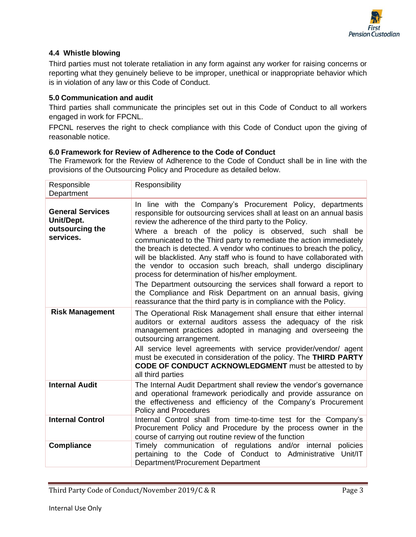

## **4.4 Whistle blowing**

Third parties must not tolerate retaliation in any form against any worker for raising concerns or reporting what they genuinely believe to be improper, unethical or inappropriate behavior which is in violation of any law or this Code of Conduct.

#### **5.0 Communication and audit**

Third parties shall communicate the principles set out in this Code of Conduct to all workers engaged in work for FPCNL.

FPCNL reserves the right to check compliance with this Code of Conduct upon the giving of reasonable notice.

#### **6.0 Framework for Review of Adherence to the Code of Conduct**

The Framework for the Review of Adherence to the Code of Conduct shall be in line with the provisions of the Outsourcing Policy and Procedure as detailed below.

| Responsible<br>Department                                             | Responsibility                                                                                                                                                                                                                                                                                                                                                                                                                                                                                                                                                                                                                                                                                                                                                                                                      |
|-----------------------------------------------------------------------|---------------------------------------------------------------------------------------------------------------------------------------------------------------------------------------------------------------------------------------------------------------------------------------------------------------------------------------------------------------------------------------------------------------------------------------------------------------------------------------------------------------------------------------------------------------------------------------------------------------------------------------------------------------------------------------------------------------------------------------------------------------------------------------------------------------------|
| <b>General Services</b><br>Unit/Dept.<br>outsourcing the<br>services. | In line with the Company's Procurement Policy, departments<br>responsible for outsourcing services shall at least on an annual basis<br>review the adherence of the third party to the Policy.<br>Where a breach of the policy is observed, such shall be<br>communicated to the Third party to remediate the action immediately<br>the breach is detected. A vendor who continues to breach the policy,<br>will be blacklisted. Any staff who is found to have collaborated with<br>the vendor to occasion such breach, shall undergo disciplinary<br>process for determination of his/her employment.<br>The Department outsourcing the services shall forward a report to<br>the Compliance and Risk Department on an annual basis, giving<br>reassurance that the third party is in compliance with the Policy. |
| <b>Risk Management</b>                                                | The Operational Risk Management shall ensure that either internal<br>auditors or external auditors assess the adequacy of the risk<br>management practices adopted in managing and overseeing the<br>outsourcing arrangement.<br>All service level agreements with service provider/vendor/ agent<br>must be executed in consideration of the policy. The THIRD PARTY<br>CODE OF CONDUCT ACKNOWLEDGMENT must be attested to by<br>all third parties                                                                                                                                                                                                                                                                                                                                                                 |
| <b>Internal Audit</b>                                                 | The Internal Audit Department shall review the vendor's governance<br>and operational framework periodically and provide assurance on<br>the effectiveness and efficiency of the Company's Procurement<br>Policy and Procedures                                                                                                                                                                                                                                                                                                                                                                                                                                                                                                                                                                                     |
| <b>Internal Control</b>                                               | Internal Control shall from time-to-time test for the Company's<br>Procurement Policy and Procedure by the process owner in the<br>course of carrying out routine review of the function                                                                                                                                                                                                                                                                                                                                                                                                                                                                                                                                                                                                                            |
| <b>Compliance</b>                                                     | Timely communication of regulations and/or internal<br>policies<br>pertaining to the Code of Conduct to Administrative Unit/IT<br>Department/Procurement Department                                                                                                                                                                                                                                                                                                                                                                                                                                                                                                                                                                                                                                                 |